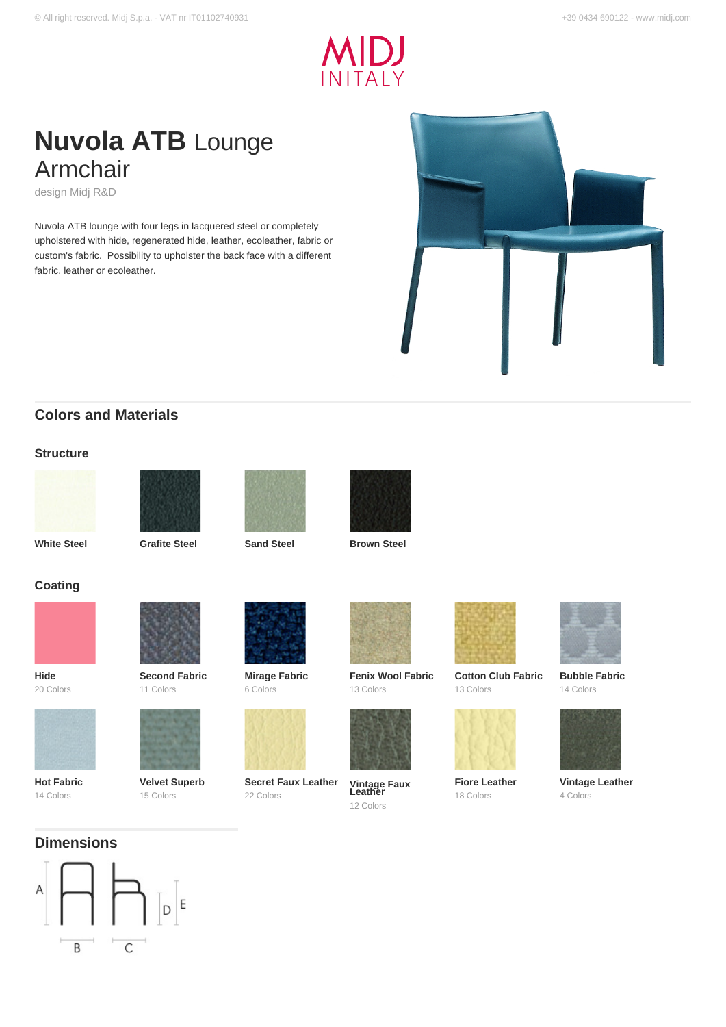

# **Nuvola ATB** Lounge Armchair

design Midj R&D

Nuvola ATB lounge with four legs in lacquered steel or completely upholstered with hide, regenerated hide, leather, ecoleather, fabric or custom's fabric. Possibility to upholster the back face with a different fabric, leather or ecoleather.



# **Colors and Materials**

### **Structure**







**White Steel Grafite Steel Sand Steel Brown Steel**





**Coating**



**Hide** 20 Colors



**Hot Fabric** 14 Colors



**Second Fabric**

**Velvet Superb** 15 Colors



**Mirage Fabric** 6 Colors



**Secret Faux Leather** 22 Colors



**Fenix Wool Fabric** 13 Colors



**Vintage Faux Leather** 12 Colors



**Cotton Club Fabric** 13 Colors



**Fiore Leather** 18 Colors



**Bubble Fabric** 14 Colors



**Vintage Leather** 4 Colors

# **Dimensions**

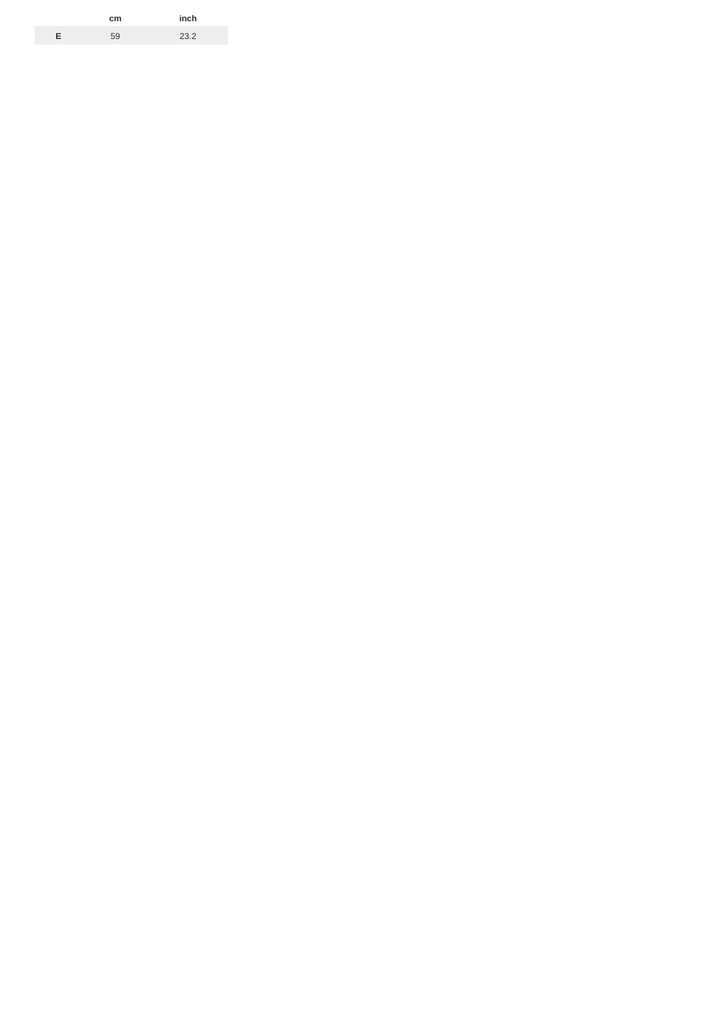|   | cm | inch |
|---|----|------|
| E | 59 | 23.2 |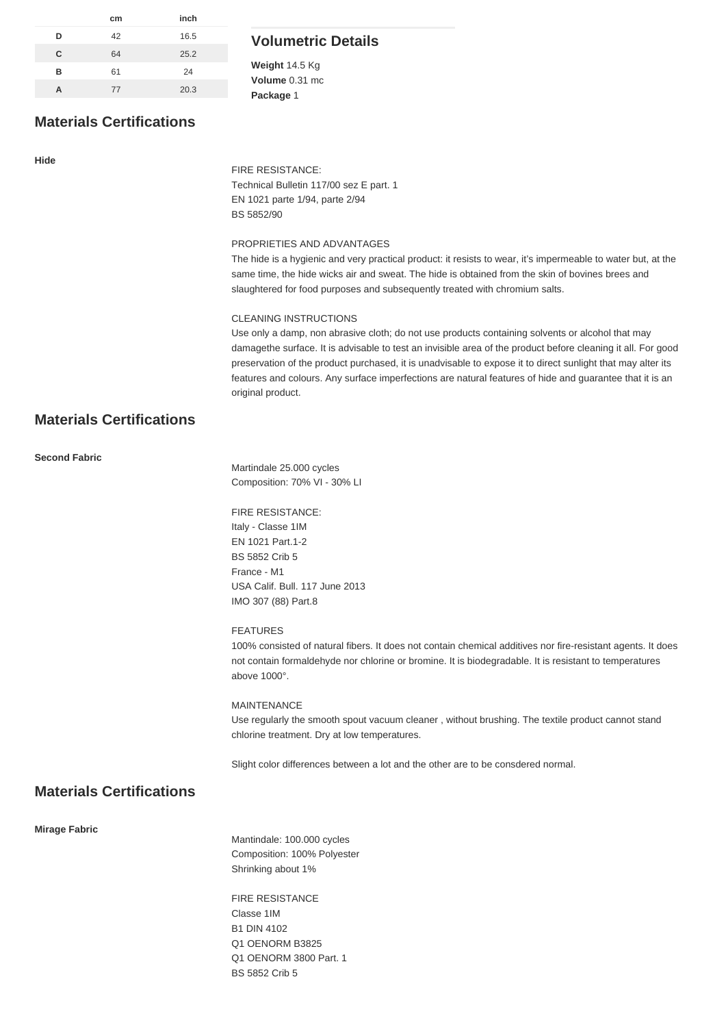| cm | inch |
|----|------|
| 42 | 16.5 |
| 64 | 25.2 |
| 61 | 24   |
| 77 | 20.3 |
|    |      |

# **Volumetric Details**

**Weight** 14.5 Kg **Volume** 0.31 mc **Package** 1

# **Materials Certifications**

#### **Hide**

FIRE RESISTANCE: Technical Bulletin 117/00 sez E part. 1 EN 1021 parte 1/94, parte 2/94 BS 5852/90

### PROPRIETIES AND ADVANTAGES

The hide is a hygienic and very practical product: it resists to wear, it's impermeable to water but, at the same time, the hide wicks air and sweat. The hide is obtained from the skin of bovines brees and slaughtered for food purposes and subsequently treated with chromium salts.

### CLEANING INSTRUCTIONS

Use only a damp, non abrasive cloth; do not use products containing solvents or alcohol that may damagethe surface. It is advisable to test an invisible area of the product before cleaning it all. For good preservation of the product purchased, it is unadvisable to expose it to direct sunlight that may alter its features and colours. Any surface imperfections are natural features of hide and guarantee that it is an original product.

# **Materials Certifications**

### **Second Fabric**

Martindale 25.000 cycles Composition: 70% VI - 30% LI

# FIRE RESISTANCE:

Italy - Classe 1IM EN 1021 Part.1-2 BS 5852 Crib 5 France - M1 USA Calif. Bull. 117 June 2013 IMO 307 (88) Part.8

### FEATURES

100% consisted of natural fibers. It does not contain chemical additives nor fire-resistant agents. It does not contain formaldehyde nor chlorine or bromine. It is biodegradable. It is resistant to temperatures above 1000°.

### MAINTENANCE

Use regularly the smooth spout vacuum cleaner , without brushing. The textile product cannot stand chlorine treatment. Dry at low temperatures.

Slight color differences between a lot and the other are to be consdered normal.

# **Materials Certifications**

#### **Mirage Fabric**

Mantindale: 100.000 cycles Composition: 100% Polyester Shrinking about 1%

FIRE RESISTANCE Classe 1IM B1 DIN 4102 Q1 OENORM B3825 Q1 OENORM 3800 Part. 1 BS 5852 Crib 5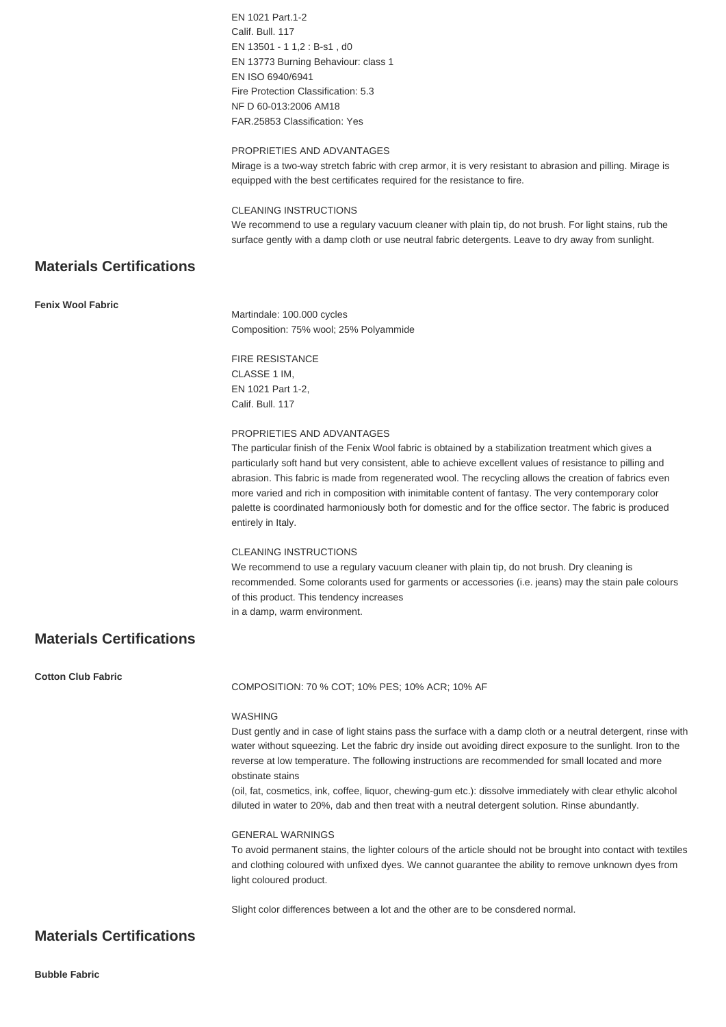|                                 | EN 1021 Part.1-2                                                                                                                                                                                                  |
|---------------------------------|-------------------------------------------------------------------------------------------------------------------------------------------------------------------------------------------------------------------|
|                                 | Calif. Bull. 117                                                                                                                                                                                                  |
|                                 | EN 13501 - 1 1,2 : B-s1, d0                                                                                                                                                                                       |
|                                 | EN 13773 Burning Behaviour: class 1<br>EN ISO 6940/6941                                                                                                                                                           |
|                                 | Fire Protection Classification: 5.3                                                                                                                                                                               |
|                                 | NF D 60-013:2006 AM18                                                                                                                                                                                             |
|                                 | FAR.25853 Classification: Yes                                                                                                                                                                                     |
|                                 | PROPRIETIES AND ADVANTAGES                                                                                                                                                                                        |
|                                 | Mirage is a two-way stretch fabric with crep armor, it is very resistant to abrasion and pilling. Mirage is                                                                                                       |
|                                 | equipped with the best certificates required for the resistance to fire.                                                                                                                                          |
|                                 | <b>CLEANING INSTRUCTIONS</b>                                                                                                                                                                                      |
|                                 | We recommend to use a regulary vacuum cleaner with plain tip, do not brush. For light stains, rub the                                                                                                             |
|                                 | surface gently with a damp cloth or use neutral fabric detergents. Leave to dry away from sunlight.                                                                                                               |
| <b>Materials Certifications</b> |                                                                                                                                                                                                                   |
| Fenix Wool Fabric               |                                                                                                                                                                                                                   |
|                                 | Martindale: 100.000 cycles                                                                                                                                                                                        |
|                                 | Composition: 75% wool; 25% Polyammide                                                                                                                                                                             |
|                                 | <b>FIRE RESISTANCE</b>                                                                                                                                                                                            |
|                                 | CLASSE 1 IM,                                                                                                                                                                                                      |
|                                 | EN 1021 Part 1-2,                                                                                                                                                                                                 |
|                                 | Calif. Bull. 117                                                                                                                                                                                                  |
|                                 | PROPRIETIES AND ADVANTAGES                                                                                                                                                                                        |
|                                 | The particular finish of the Fenix Wool fabric is obtained by a stabilization treatment which gives a                                                                                                             |
|                                 | particularly soft hand but very consistent, able to achieve excellent values of resistance to pilling and                                                                                                         |
|                                 | abrasion. This fabric is made from regenerated wool. The recycling allows the creation of fabrics even<br>more varied and rich in composition with inimitable content of fantasy. The very contemporary color     |
|                                 | palette is coordinated harmoniously both for domestic and for the office sector. The fabric is produced                                                                                                           |
|                                 | entirely in Italy.                                                                                                                                                                                                |
|                                 |                                                                                                                                                                                                                   |
|                                 | CLEANING INSTRUCTIONS<br>We recommend to use a regulary vacuum cleaner with plain tip, do not brush. Dry cleaning is                                                                                              |
|                                 | recommended. Some colorants used for garments or accessories (i.e. jeans) may the stain pale colours                                                                                                              |
|                                 | of this product. This tendency increases                                                                                                                                                                          |
|                                 | in a damp, warm environment.                                                                                                                                                                                      |
| <b>Materials Certifications</b> |                                                                                                                                                                                                                   |
| <b>Cotton Club Fabric</b>       | COMPOSITION: 70 % COT; 10% PES; 10% ACR; 10% AF                                                                                                                                                                   |
|                                 |                                                                                                                                                                                                                   |
|                                 | WASHING                                                                                                                                                                                                           |
|                                 | Dust gently and in case of light stains pass the surface with a damp cloth or a neutral detergent, rinse with                                                                                                     |
|                                 | water without squeezing. Let the fabric dry inside out avoiding direct exposure to the sunlight. Iron to the<br>reverse at low temperature. The following instructions are recommended for small located and more |
|                                 | obstinate stains                                                                                                                                                                                                  |
|                                 | (oil, fat, cosmetics, ink, coffee, liquor, chewing-gum etc.): dissolve immediately with clear ethylic alcohol<br>diluted in water to 20%, dab and then treat with a neutral detergent solution. Rinse abundantly. |
|                                 | <b>GENERAL WARNINGS</b>                                                                                                                                                                                           |
|                                 | To avoid permanent stains, the lighter colours of the article should not be brought into contact with textiles                                                                                                    |
|                                 | and clothing coloured with unfixed dyes. We cannot guarantee the ability to remove unknown dyes from                                                                                                              |
|                                 | light coloured product.                                                                                                                                                                                           |
|                                 | Slight color differences between a lot and the other are to be consdered normal.                                                                                                                                  |
|                                 |                                                                                                                                                                                                                   |
| <b>Materials Certifications</b> |                                                                                                                                                                                                                   |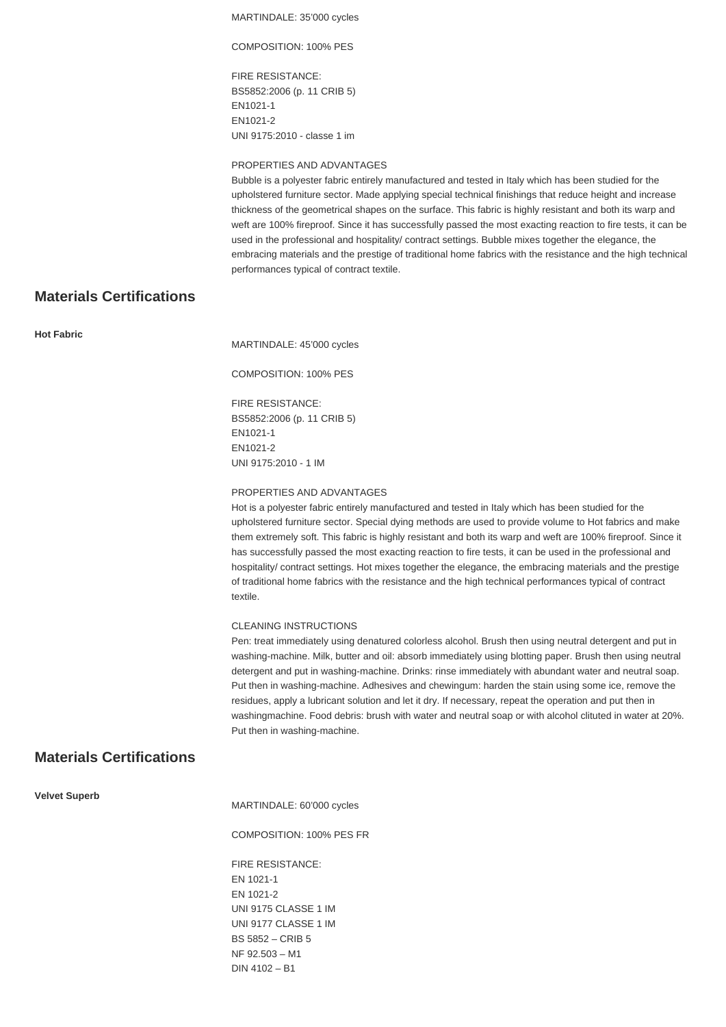MARTINDALE: 35'000 cycles

COMPOSITION: 100% PES

FIRE RESISTANCE: BS5852:2006 (p. 11 CRIB 5) EN1021-1 EN1021-2 UNI 9175:2010 - classe 1 im

### PROPERTIES AND ADVANTAGES

Bubble is a polyester fabric entirely manufactured and tested in Italy which has been studied for the upholstered furniture sector. Made applying special technical finishings that reduce height and increase thickness of the geometrical shapes on the surface. This fabric is highly resistant and both its warp and weft are 100% fireproof. Since it has successfully passed the most exacting reaction to fire tests, it can be used in the professional and hospitality/ contract settings. Bubble mixes together the elegance, the embracing materials and the prestige of traditional home fabrics with the resistance and the high technical performances typical of contract textile.

### **Materials Certifications**

**Hot Fabric**

MARTINDALE: 45'000 cycles

COMPOSITION: 100% PES

FIRE RESISTANCE: BS5852:2006 (p. 11 CRIB 5) EN1021-1 EN1021-2 UNI 9175:2010 - 1 IM

#### PROPERTIES AND ADVANTAGES

Hot is a polyester fabric entirely manufactured and tested in Italy which has been studied for the upholstered furniture sector. Special dying methods are used to provide volume to Hot fabrics and make them extremely soft. This fabric is highly resistant and both its warp and weft are 100% fireproof. Since it has successfully passed the most exacting reaction to fire tests, it can be used in the professional and hospitality/ contract settings. Hot mixes together the elegance, the embracing materials and the prestige of traditional home fabrics with the resistance and the high technical performances typical of contract textile.

#### CLEANING INSTRUCTIONS

Pen: treat immediately using denatured colorless alcohol. Brush then using neutral detergent and put in washing-machine. Milk, butter and oil: absorb immediately using blotting paper. Brush then using neutral detergent and put in washing-machine. Drinks: rinse immediately with abundant water and neutral soap. Put then in washing-machine. Adhesives and chewingum: harden the stain using some ice, remove the residues, apply a lubricant solution and let it dry. If necessary, repeat the operation and put then in washingmachine. Food debris: brush with water and neutral soap or with alcohol clituted in water at 20%. Put then in washing-machine.

### **Materials Certifications**

**Velvet Superb**

MARTINDALE: 60'000 cycles

COMPOSITION: 100% PES FR

FIRE RESISTANCE: EN 1021-1 EN 1021-2 UNI 9175 CLASSE 1 IM UNI 9177 CLASSE 1 IM BS 5852 – CRIB 5 NF 92.503 – M1 DIN 4102 – B1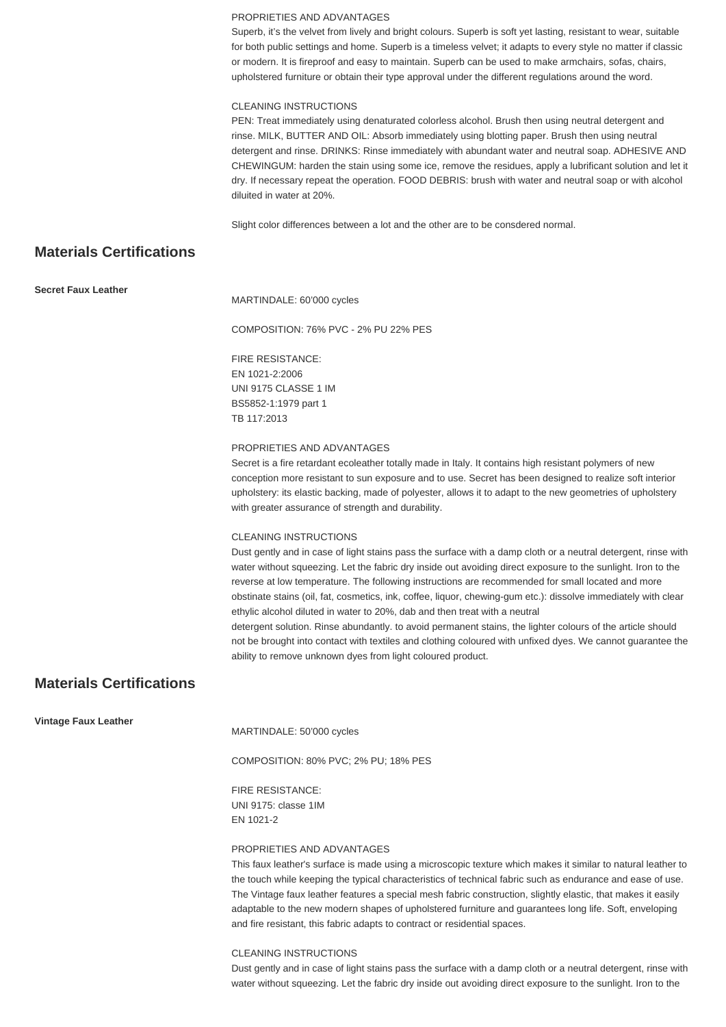#### PROPRIETIES AND ADVANTAGES

Superb, it's the velvet from lively and bright colours. Superb is soft yet lasting, resistant to wear, suitable for both public settings and home. Superb is a timeless velvet; it adapts to every style no matter if classic or modern. It is fireproof and easy to maintain. Superb can be used to make armchairs, sofas, chairs, upholstered furniture or obtain their type approval under the different regulations around the word.

#### CLEANING INSTRUCTIONS

PEN: Treat immediately using denaturated colorless alcohol. Brush then using neutral detergent and rinse. MILK, BUTTER AND OIL: Absorb immediately using blotting paper. Brush then using neutral detergent and rinse. DRINKS: Rinse immediately with abundant water and neutral soap. ADHESIVE AND CHEWINGUM: harden the stain using some ice, remove the residues, apply a lubrificant solution and let it dry. If necessary repeat the operation. FOOD DEBRIS: brush with water and neutral soap or with alcohol diluited in water at 20%.

Slight color differences between a lot and the other are to be consdered normal.

# **Materials Certifications**

**Secret Faux Leather**

MARTINDALE: 60'000 cycles

COMPOSITION: 76% PVC - 2% PU 22% PES

#### FIRE RESISTANCE:

EN 1021-2:2006 UNI 9175 CLASSE 1 IM BS5852-1:1979 part 1 TB 117:2013

#### PROPRIETIES AND ADVANTAGES

Secret is a fire retardant ecoleather totally made in Italy. It contains high resistant polymers of new conception more resistant to sun exposure and to use. Secret has been designed to realize soft interior upholstery: its elastic backing, made of polyester, allows it to adapt to the new geometries of upholstery with greater assurance of strength and durability.

#### CLEANING INSTRUCTIONS

Dust gently and in case of light stains pass the surface with a damp cloth or a neutral detergent, rinse with water without squeezing. Let the fabric dry inside out avoiding direct exposure to the sunlight. Iron to the reverse at low temperature. The following instructions are recommended for small located and more obstinate stains (oil, fat, cosmetics, ink, coffee, liquor, chewing-gum etc.): dissolve immediately with clear ethylic alcohol diluted in water to 20%, dab and then treat with a neutral detergent solution. Rinse abundantly. to avoid permanent stains, the lighter colours of the article should

not be brought into contact with textiles and clothing coloured with unfixed dyes. We cannot guarantee the ability to remove unknown dyes from light coloured product.

# **Materials Certifications**

**Vintage Faux Leather**

MARTINDALE: 50'000 cycles

COMPOSITION: 80% PVC; 2% PU; 18% PES

FIRE RESISTANCE: UNI 9175: classe 1IM EN 1021-2

#### PROPRIETIES AND ADVANTAGES

This faux leather's surface is made using a microscopic texture which makes it similar to natural leather to the touch while keeping the typical characteristics of technical fabric such as endurance and ease of use. The Vintage faux leather features a special mesh fabric construction, slightly elastic, that makes it easily adaptable to the new modern shapes of upholstered furniture and guarantees long life. Soft, enveloping and fire resistant, this fabric adapts to contract or residential spaces.

#### CLEANING INSTRUCTIONS

Dust gently and in case of light stains pass the surface with a damp cloth or a neutral detergent, rinse with water without squeezing. Let the fabric dry inside out avoiding direct exposure to the sunlight. Iron to the